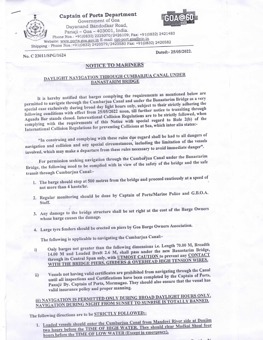### Captain of Ports Department Government of Goa



Dayanand Bandodkar Road, Panaji - Goa - 403001, India. Phone Nos.: +91(0832) 2225070/2426109; Fax: +91(0832) 2421483 Website: www.ports.goa.gov.in E-mail: cpt-port.goa@nic.in Shipping - Phone Nos.: +91(0832) 2420579/2420580 Fax: +91(0832) 2420582

No. C 23011/SPG/1624

Dated:-25/05/2022.

## **NOTICE TO MARINERS**

## DAYLIGHT NAVIGATION THROUGH CUMBARJUA CANAL UNDER **BANASTARIM BRIDGE**

It is hereby notified that barges complying the requirements as mentioned below are permitted to navigate through the Cumbarjua Canal and under the Banastarim Bridge as a very special case exclusively during broad day light hours only, subject to their strictly adhering the following conditions with effect from 25/05/2022 noon, till further notice to transiting through Aguada Bar stands closed. International Collision Regulations are to be strictly followed, when complying with the requirements of this Notice with special regard to Rule 2(b) of the International Collision Regulations for preventing Collisions at Sea, which inter alia states:-

"In construing and complying with these rules due regard shall be had to all dangers of navigation and collision and any special circumstances, including the limitation of the vessels involved, which may make a departure from these rules necessary to avoid immediate danger".

For permission seeking navigation through the Cumbarjua Canal under the Banastarim Bridge, the following need to be complied with in view of the safety of the bridge and the safe transit through Cumbarjua Canal:-

- 1. The barge should stop at 500 metres from the bridge and proceed cautiously at a speed of not more than 4 knots/hr.
- 2. Regular monitoring should be done by Captain of Ports/Marine Police and G.B.O.A. Staff.
- 3. Any damage to the bridge structure shall be set right at the cost of the Barge Owners whose barge causes the damage.
- 4. Large tyre fenders should be erected on piers by Goa Barge Owners Association.

The following is applicable to navigating the Cumbarjua Canal:-

- Only barges not greater than the following dimensions i.e. Length 70.00 M, Breadth 14.00 M and Loaded Draft 2.6 M, shall pass under the new Banastarim Bridge, i) through its Central Span only, with UTMOST CAUTION to prevent any CONTACT WITH THE BRIDGE PIERS, GIRDERS & OVERHEAD HIGH TENSION WIRES.
- Vessels not having valid certificates are prohibited from navigating through the Canal until all inspections and Certifications have been completed by the Captain of Ports,  $\mathbf{ii}$ Panaji/ Dy. Captain of Ports, Mormugao. They should also ensure that the vessel has valid insurance policy and proper manning.

# iii) NAVIGATION IS PERMITTED ONLY DURING BROAD DAYLIGHT HOURS ONLY. NAVIGATION DURING NIGHT FROM SUNSET TO SUNRISE IS TOTALLY BANNED.

The following directions are to be STRICTLY FOLLOWED:-

1. Loaded vessels should enter the Cumbarjua Canal from Mandovi River side at Daujim two hours before the TIME OF HIGH WATER. They should clear Madkai Shoal four hours before the TIME OF LOW WATER (Except in emergency).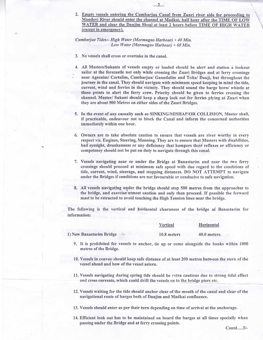2. Empty vessels entering the Cumbarjua Canal from Zuari river side for proceeding to Mandovi River should enter the channel at Madkai, half hour after the TIME OF LOW WATER and clear the Daujim Shoal at least 2 hours before TIME OF HIGH WATER (except in emergency).

...2...

### Cumbarjua Tides:- High Water (Mormugao Harbour) + 40 Min. Low Water (Mormugao Harbour) + 60 Min.

- 3. No vessels shall cross or overtake in the canal.
- 4. All Masters/Sukanis of vessels empty or loaded should be alert and station a lookout sailor at the forecastle not only while crossing the zuari Bridges and at ferry crossings ` near Agacaim/ Cortalim, Cumbarjua/ Gaundalim and Tolta/ Dauji, but throughout the journey in the canal. They should navigate with minimum speed keeping in mind the tide, current, wind and ferries in the vicinity. They should sound the barge horn/ whistle at these points to alert the ferry crew. Priority should be given to ferries crossing the channel. Master/ Sukani should keep a sharp look out for ferries plying at Zuari when they are about 500 Metres on either sides of the Zuari Bridges.
- 5. In the event of any casualty such as SINKING/MISHAP/OR COLLISION, Master shall, if practicable, endeavour not to block the Canal and inform the concerned authorities immediately within one hour.
- 6. Owners are to take absolute caution to ensure that vessels are river worthy in every respect viz. Engines, Steering, Manning. They are to ensure that Masters with disabilities, bad eyesight, drunkenness or any deficieney that hampers their reflexes or efficiency or competency should not be put on duty to navigate through this canal.
- 7. Vessels navigating near or under the Bridge at Banastarim and near the two ferry crossings should proceed at minimum safe speed with due regard to the conditions of tide, current, wind, steerage, and stopping distances. DO NOT ATTEMPT to navigate under the Bridges if conditions are not favourable or conducive to safe navigation.
- 8. All vessels navigating under the bridge should stop 500 metres from the approaches to the bridge, and exercises utmost caution and only then proceed. If possible the forward mast to be retracted to avoid touching the High Tension lines near the bridge.

The following is the vertical and horizontal clearances of the bridge at Banastarim for information:

|                          | Vertical    | Horizontal   |
|--------------------------|-------------|--------------|
| 1) New Banastarim Bridge | 10.8 meters | 40.0 meters. |
|                          |             |              |

- 9. It is prohibited for vessels to anchor, tie up or come alongside the banks within 1000 metres of the Bridge.
- 10. Vessels in convoy should keep safe distance of at least 200 metres between the stern of the vessel ahead and bow of the vessel astern.
- 11. Vessels navigating during spring tide should be extra cautious due to strong tidal effect and cross currents, which could drift the vessels on to the bridge piers etc.
- 12. Vessels waiting for the tide should anchor clear of the mouth of the canal and clear of the navigational route of barges both of Daujim and Madkai confluence.

13. Vessels should enter as per their turn depending on time of arrival at the anchorage.

14. Efficient look out has to be maintained on board the barges at all times specially when passing under the Bridge and at ferry crossing points.

Contd....3/-